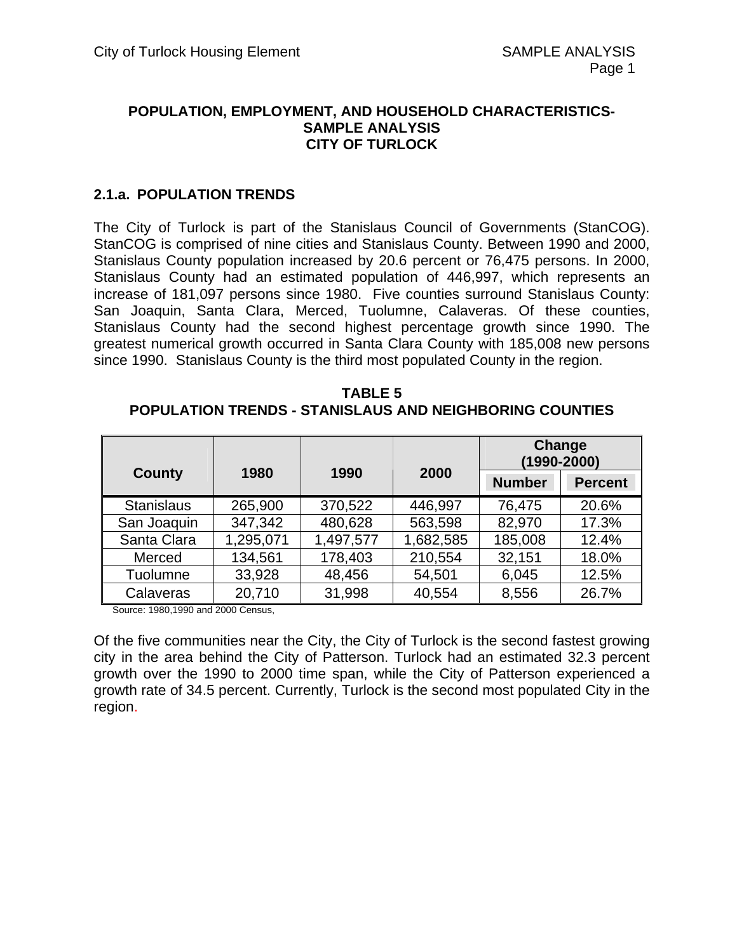# **SAMPLE ANALYSIS CITY OF TURLOCK POPULATION, EMPLOYMENT, AND HOUSEHOLD CHARACTERISTICS-**

## **2.1.a. POPULATION TRENDS**

The City of Turlock is part of the Stanislaus Council of Governments (StanCOG). StanCOG is comprised of nine cities and Stanislaus County. Between 1990 and 2000, Stanislaus County population increased by 20.6 percent or 76,475 persons. In 2000, Stanislaus County had an estimated population of 446,997, which represents an increase of 181,097 persons since 1980. Five counties surround Stanislaus County: San Joaquin, Santa Clara, Merced, Tuolumne, Calaveras. Of these counties, Stanislaus County had the second highest percentage growth since 1990. The greatest numerical growth occurred in Santa Clara County with 185,008 new persons since 1990. Stanislaus County is the third most populated County in the region.

| <b>TABLE 5</b>                                                 |
|----------------------------------------------------------------|
| <b>POPULATION TRENDS - STANISLAUS AND NEIGHBORING COUNTIES</b> |

|                   |           |           |           |               | Change<br>(1990-2000) |
|-------------------|-----------|-----------|-----------|---------------|-----------------------|
| <b>County</b>     | 1980      | 1990      | 2000      | <b>Number</b> | <b>Percent</b>        |
| <b>Stanislaus</b> | 265,900   | 370,522   | 446,997   | 76,475        | 20.6%                 |
| San Joaquin       | 347,342   | 480,628   | 563,598   | 82,970        | 17.3%                 |
| Santa Clara       | 1,295,071 | 1,497,577 | 1,682,585 | 185,008       | 12.4%                 |
| Merced            | 134,561   | 178,403   | 210,554   | 32,151        | 18.0%                 |
| Tuolumne          | 33,928    | 48,456    | 54,501    | 6,045         | 12.5%                 |
| Calaveras         | 20,710    | 31,998    | 40,554    | 8,556         | 26.7%                 |

Source: 1980,1990 and 2000 Census,

Of the five communities near the City, the City of Turlock is the second fastest growing city in the area behind the City of Patterson. Turlock had an estimated 32.3 percent growth over the 1990 to 2000 time span, while the City of Patterson experienced a growth rate of 34.5 percent. Currently, Turlock is the second most populated City in the region.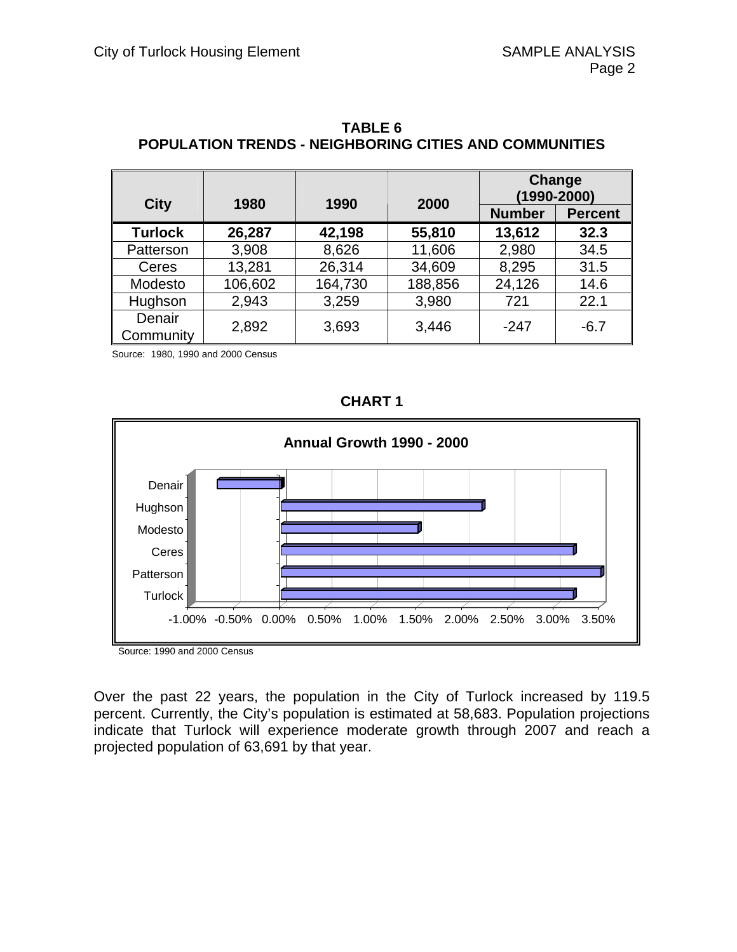| <b>City</b>         | 1980    | 1990    | 2000    |               | Change<br>$(1990 - 2000)$ |
|---------------------|---------|---------|---------|---------------|---------------------------|
|                     |         |         |         | <b>Number</b> | <b>Percent</b>            |
| <b>Turlock</b>      | 26,287  | 42,198  | 55,810  | 13,612        | 32.3                      |
| Patterson           | 3,908   | 8,626   | 11,606  | 2,980         | 34.5                      |
| Ceres               | 13,281  | 26,314  | 34,609  | 8,295         | 31.5                      |
| Modesto             | 106,602 | 164,730 | 188,856 | 24,126        | 14.6                      |
| Hughson             | 2,943   | 3,259   | 3,980   | 721           | 22.1                      |
| Denair<br>Community | 2,892   | 3,693   | 3,446   | $-247$        | $-6.7$                    |

**TABLE 6 POPULATION TRENDS - NEIGHBORING CITIES AND COMMUNITIES** 

Source: 1980, 1990 and 2000 Census





Source: 1990 and 2000 Census

Over the past 22 years, the population in the City of Turlock increased by 119.5 percent. Currently, the City's population is estimated at 58,683. Population projections indicate that Turlock will experience moderate growth through 2007 and reach a projected population of 63,691 by that year.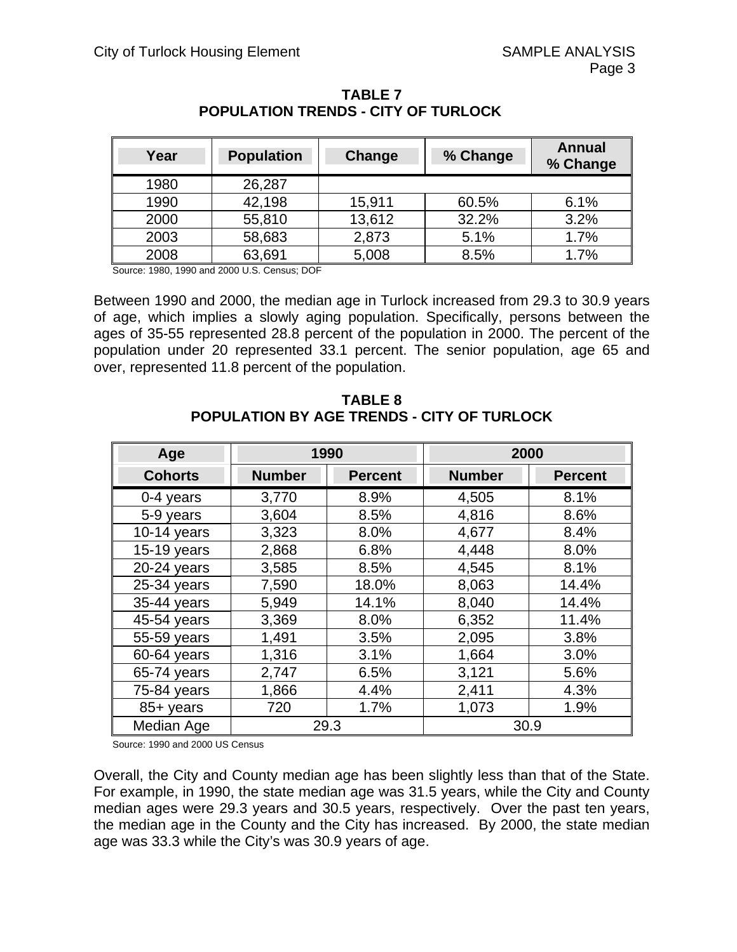| Year | <b>Population</b> | Change | % Change | Annual<br>% Change |
|------|-------------------|--------|----------|--------------------|
| 1980 | 26,287            |        |          |                    |
| 1990 | 42,198            | 15,911 | 60.5%    | 6.1%               |
| 2000 | 55,810            | 13,612 | 32.2%    | 3.2%               |
| 2003 | 58,683            | 2,873  | 5.1%     | 1.7%               |
| 2008 | 63,691            | 5,008  | 8.5%     | 1.7%               |

#### **TABLE 7 POPULATION TRENDS - CITY OF TURLOCK**

Source: 1980, 1990 and 2000 U.S. Census; DOF

Between 1990 and 2000, the median age in Turlock increased from 29.3 to 30.9 years of age, which implies a slowly aging population. Specifically, persons between the ages of 35-55 represented 28.8 percent of the population in 2000. The percent of the population under 20 represented 33.1 percent. The senior population, age 65 and over, represented 11.8 percent of the population.

| Age            | 1990          |                | 2000          |                |
|----------------|---------------|----------------|---------------|----------------|
| <b>Cohorts</b> | <b>Number</b> | <b>Percent</b> | <b>Number</b> | <b>Percent</b> |
| $0-4$ years    | 3,770         | 8.9%           | 4,505         | 8.1%           |
| 5-9 years      | 3,604         | 8.5%           | 4,816         | 8.6%           |
| $10-14$ years  | 3,323         | 8.0%           | 4,677         | 8.4%           |
| 15-19 years    | 2,868         | 6.8%           | 4,448         | 8.0%           |
| $20-24$ years  | 3,585         | 8.5%           | 4,545         | 8.1%           |
| $25-34$ years  | 7,590         | 18.0%          | 8,063         | 14.4%          |
| 35-44 years    | 5,949         | 14.1%          | 8,040         | 14.4%          |
| 45-54 years    | 3,369         | 8.0%           | 6,352         | 11.4%          |
| 55-59 years    | 1,491         | 3.5%           | 2,095         | 3.8%           |
| 60-64 years    | 1,316         | 3.1%           | 1,664         | 3.0%           |
| 65-74 years    | 2,747         | 6.5%           | 3,121         | 5.6%           |
| 75-84 years    | 1,866         | 4.4%           | 2,411         | 4.3%           |
| 85+ years      | 720           | 1.7%           | 1,073         | 1.9%           |
| Median Age     |               | 29.3           | 30.9          |                |

#### **TABLE 8 POPULATION BY AGE TRENDS - CITY OF TURLOCK**

Source: 1990 and 2000 US Census

Overall, the City and County median age has been slightly less than that of the State. For example, in 1990, the state median age was 31.5 years, while the City and County median ages were 29.3 years and 30.5 years, respectively. Over the past ten years, the median age in the County and the City has increased. By 2000, the state median age was 33.3 while the City's was 30.9 years of age.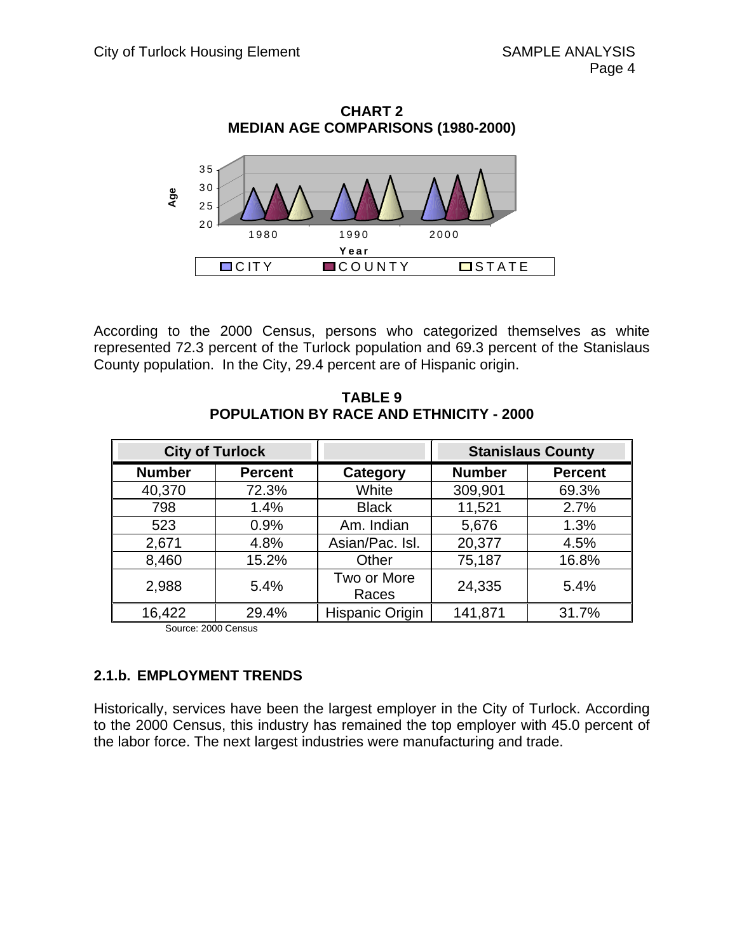

According to the 2000 Census, persons who categorized themselves as white represented 72.3 percent of the Turlock population and 69.3 percent of the Stanislaus County population. In the City, 29.4 percent are of Hispanic origin.

|                     | <b>City of Turlock</b> |                      | <b>Stanislaus County</b> |                |
|---------------------|------------------------|----------------------|--------------------------|----------------|
| <b>Number</b>       | <b>Percent</b>         | Category             | <b>Number</b>            | <b>Percent</b> |
| 40,370              | 72.3%                  | White                | 309,901                  | 69.3%          |
| 798                 | 1.4%                   | <b>Black</b>         | 11,521                   | 2.7%           |
| 523                 | 0.9%                   | Am. Indian           | 5,676                    | 1.3%           |
| 2,671               | 4.8%                   | Asian/Pac. Isl.      | 20,377                   | 4.5%           |
| 8,460               | 15.2%                  | Other                | 75,187                   | 16.8%          |
| 2,988               | 5.4%                   | Two or More<br>Races | 24,335                   | 5.4%           |
| 16,422              | 29.4%                  | Hispanic Origin      | 141,871                  | 31.7%          |
| Source: 2000 Census |                        |                      |                          |                |

**TABLE 9 POPULATION BY RACE AND ETHNICITY - 2000** 

## **2.1.b. EMPLOYMENT TRENDS**

Historically, services have been the largest employer in the City of Turlock. According to the 2000 Census, this industry has remained the top employer with 45.0 percent of the labor force. The next largest industries were manufacturing and trade.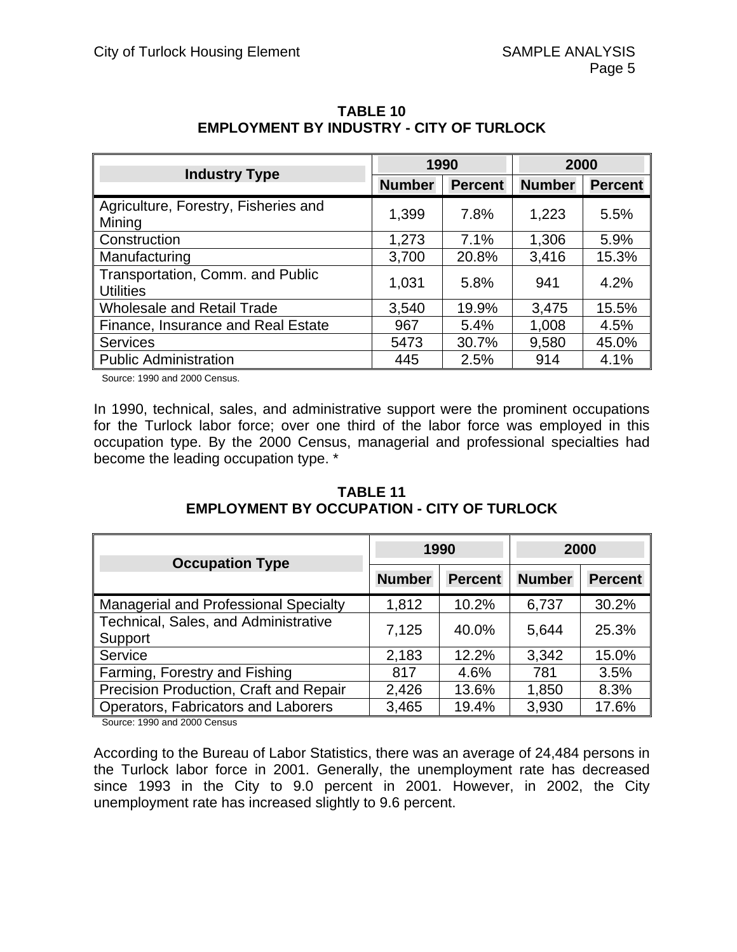| <b>Industry Type</b>                                 |               | 1990           | 2000          |                |
|------------------------------------------------------|---------------|----------------|---------------|----------------|
|                                                      | <b>Number</b> | <b>Percent</b> | <b>Number</b> | <b>Percent</b> |
| Agriculture, Forestry, Fisheries and<br>Mining       | 1,399         | 7.8%           | 1,223         | 5.5%           |
| Construction                                         | 1,273         | 7.1%           | 1,306         | 5.9%           |
| Manufacturing                                        | 3,700         | 20.8%          | 3,416         | 15.3%          |
| Transportation, Comm. and Public<br><b>Utilities</b> | 1,031         | 5.8%           | 941           | 4.2%           |
| <b>Wholesale and Retail Trade</b>                    | 3,540         | 19.9%          | 3,475         | 15.5%          |
| Finance, Insurance and Real Estate                   | 967           | 5.4%           | 1,008         | 4.5%           |
| <b>Services</b>                                      | 5473          | 30.7%          | 9,580         | 45.0%          |
| <b>Public Administration</b>                         | 445           | 2.5%           | 914           | 4.1%           |

## **TABLE 10 EMPLOYMENT BY INDUSTRY - CITY OF TURLOCK**

Source: 1990 and 2000 Census.

In 1990, technical, sales, and administrative support were the prominent occupations for the Turlock labor force; over one third of the labor force was employed in this occupation type. By the 2000 Census, managerial and professional specialties had become the leading occupation type. [\\*](#page-7-0) 

## **TABLE 11 EMPLOYMENT BY OCCUPATION - CITY OF TURLOCK**

| <b>Occupation Type</b>                          | 1990          |                | 2000          |                |
|-------------------------------------------------|---------------|----------------|---------------|----------------|
|                                                 | <b>Number</b> | <b>Percent</b> | <b>Number</b> | <b>Percent</b> |
| Managerial and Professional Specialty           | 1,812         | 10.2%          | 6,737         | 30.2%          |
| Technical, Sales, and Administrative<br>Support | 7,125         | 40.0%          | 5,644         | 25.3%          |
| Service                                         | 2,183         | 12.2%          | 3,342         | 15.0%          |
| Farming, Forestry and Fishing                   | 817           | 4.6%           | 781           | 3.5%           |
| Precision Production, Craft and Repair          | 2,426         | 13.6%          | 1,850         | 8.3%           |
| Operators, Fabricators and Laborers             | 3,465         | 19.4%          | 3,930         | 17.6%          |

Source: 1990 and 2000 Census

 unemployment rate has increased slightly to 9.6 percent. According to the Bureau of Labor Statistics, there was an average of 24,484 persons in the Turlock labor force in 2001. Generally, the unemployment rate has decreased since 1993 in the City to 9.0 percent in 2001. However, in 2002, the City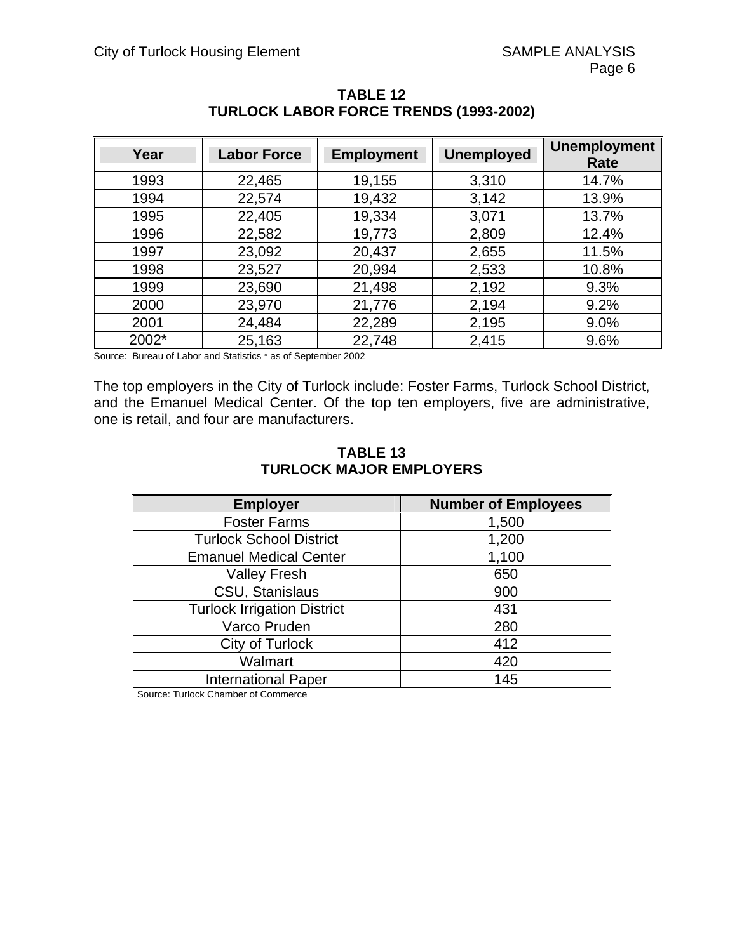| Year  | <b>Labor Force</b> | <b>Employment</b> | <b>Unemployed</b> | <b>Unemployment</b><br>Rate |
|-------|--------------------|-------------------|-------------------|-----------------------------|
| 1993  | 22,465             | 19,155            | 3,310             | 14.7%                       |
| 1994  | 22,574             | 19,432            | 3,142             | 13.9%                       |
| 1995  | 22,405             | 19,334            | 3,071             | 13.7%                       |
| 1996  | 22,582             | 19,773            | 2,809             | 12.4%                       |
| 1997  | 23,092             | 20,437            | 2,655             | 11.5%                       |
| 1998  | 23,527             | 20,994            | 2,533             | 10.8%                       |
| 1999  | 23,690             | 21,498            | 2,192             | 9.3%                        |
| 2000  | 23,970             | 21,776            | 2,194             | 9.2%                        |
| 2001  | 24,484             | 22,289            | 2,195             | 9.0%                        |
| 2002* | 25,163             | 22,748            | 2,415             | 9.6%                        |

## **TABLE 12 TURLOCK LABOR FORCE TRENDS (1993-2002)**

Source: Bureau of Labor and Statistics \* as of September 2002

The top employers in the City of Turlock include: Foster Farms, Turlock School District, and the Emanuel Medical Center. Of the top ten employers, five are administrative, one is retail, and four are manufacturers.

#### **TABLE 13 TURLOCK MAJOR EMPLOYERS**

| <b>Employer</b>                    | <b>Number of Employees</b> |
|------------------------------------|----------------------------|
| <b>Foster Farms</b>                | 1,500                      |
| <b>Turlock School District</b>     | 1,200                      |
| <b>Emanuel Medical Center</b>      | 1,100                      |
| <b>Valley Fresh</b>                | 650                        |
| CSU, Stanislaus                    | 900                        |
| <b>Turlock Irrigation District</b> | 431                        |
| Varco Pruden                       | 280                        |
| City of Turlock                    | 412                        |
| Walmart                            | 420                        |
| <b>International Paper</b>         | 145                        |

Source: Turlock Chamber of Commerce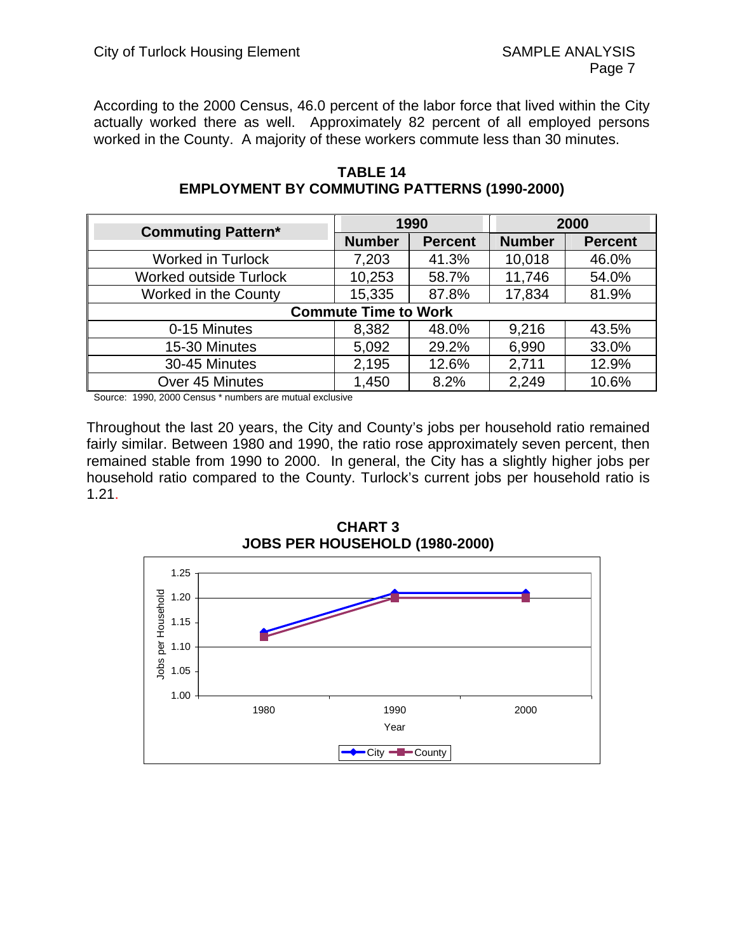According to the 2000 Census, 46.0 percent of the labor force that lived within the City actually worked there as well. Approximately 82 percent of all employed persons worked in the County. A majority of these workers commute less than 30 minutes.

| <b>Commuting Pattern*</b>     |                             | 1990           |               | 2000           |
|-------------------------------|-----------------------------|----------------|---------------|----------------|
|                               | <b>Number</b>               | <b>Percent</b> | <b>Number</b> | <b>Percent</b> |
| <b>Worked in Turlock</b>      | 7,203                       | 41.3%          | 10,018        | 46.0%          |
| <b>Worked outside Turlock</b> | 10,253                      | 58.7%          | 11,746        | 54.0%          |
| Worked in the County          | 15,335                      | 87.8%          | 17,834        | 81.9%          |
|                               | <b>Commute Time to Work</b> |                |               |                |
| 0-15 Minutes                  | 8,382                       | 48.0%          | 9,216         | 43.5%          |
| 15-30 Minutes                 | 5,092                       | 29.2%          | 6,990         | 33.0%          |
| 30-45 Minutes                 | 2,195                       | 12.6%          | 2,711         | 12.9%          |
| Over 45 Minutes               | 1,450                       | 8.2%           | 2,249         | 10.6%          |

**TABLE 14 EMPLOYMENT BY COMMUTING PATTERNS (1990-2000)** 

Source: 1990, 2000 Census \* numbers are mutual exclusive

Throughout the last 20 years, the City and County's jobs per household ratio remained fairly similar. Between 1980 and 1990, the ratio rose approximately seven percent, then remained stable from 1990 to 2000. In general, the City has a slightly higher jobs per household ratio compared to the County. Turlock's current jobs per household ratio is 1.21.

**CHART 3 JOBS PER HOUSEHOLD (1980-2000)** 

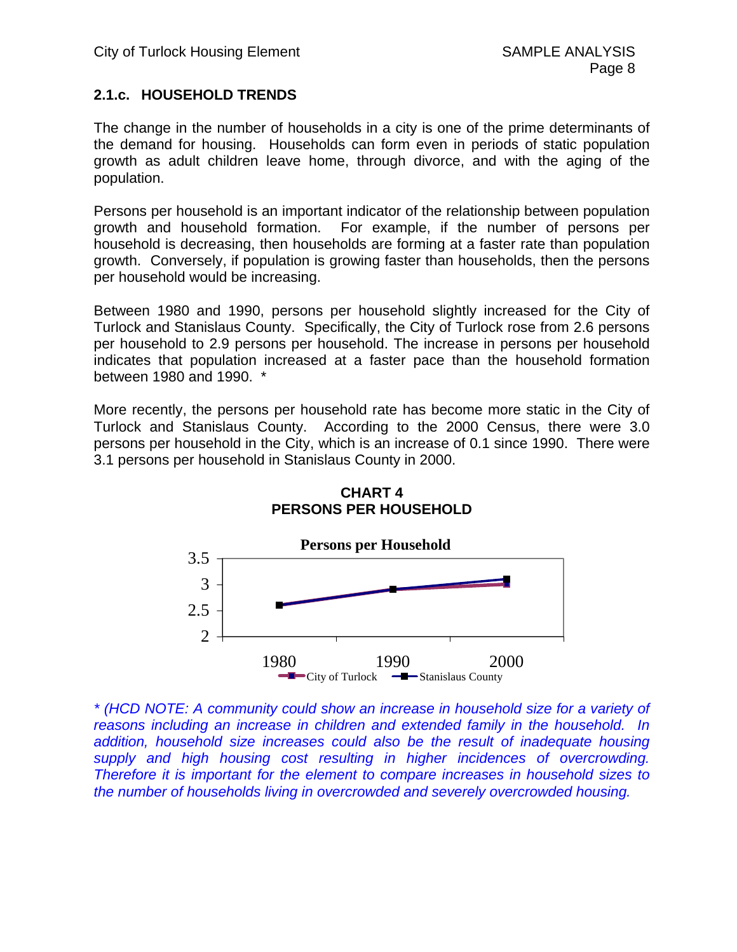## <span id="page-7-0"></span>**2.1.c. HOUSEHOLD TRENDS**

The change in the number of households in a city is one of the prime determinants of the demand for housing. Households can form even in periods of static population growth as adult children leave home, through divorce, and with the aging of the population.

Persons per household is an important indicator of the relationship between population growth and household formation. For example, if the number of persons per household is decreasing, then households are forming at a faster rate than population growth. Conversely, if population is growing faster than households, then the persons per household would be increasing.

Between 1980 and 1990, persons per household slightly increased for the City of Turlock and Stanislaus County. Specifically, the City of Turlock rose from 2.6 persons per household to 2.9 persons per household. The increase in persons per household indicates that population increased at a faster pace than the household formation between 1980 and 1990. \*

More recently, the persons per household rate has become more static in the City of Turlock and Stanislaus County. According to the 2000 Census, there were 3.0 persons per household in the City, which is an increase of 0.1 since 1990. There were 3.1 persons per household in Stanislaus County in 2000.



**CHART 4 PERSONS PER HOUSEHOLD** 

 *supply and high housing cost resulting in higher incidences of overcrowding. Therefore it is important for the element to compare increases in household sizes to \* (HCD NOTE: A community could show an increase in household size for a variety of reasons including an increase in children and extended family in the household. In addition, household size increases could also be the result of inadequate housing the number of households living in overcrowded and severely overcrowded housing.*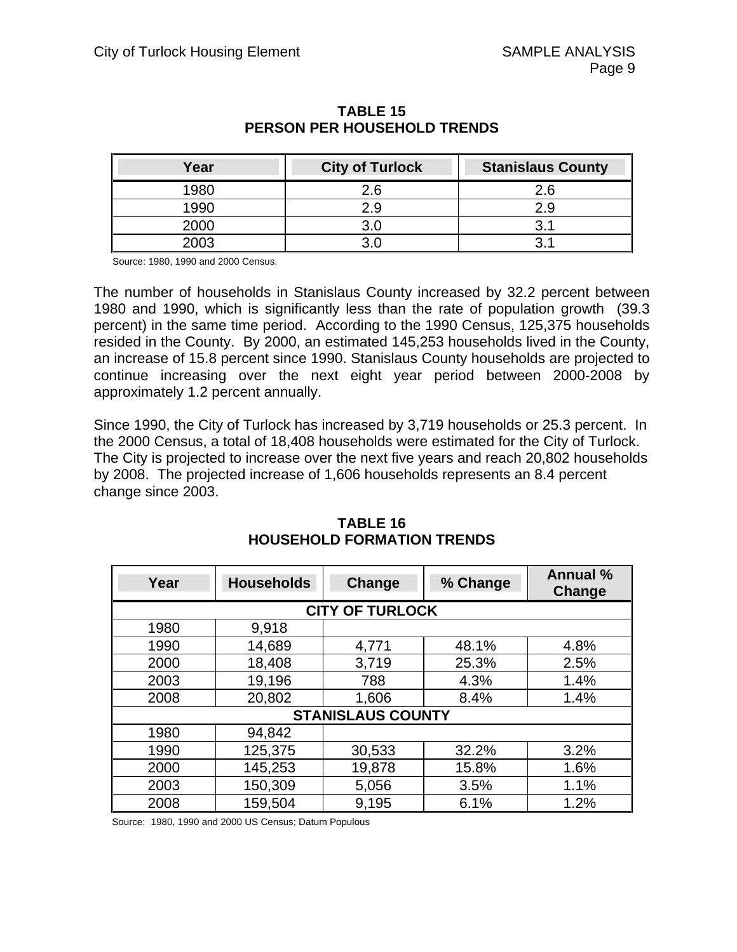| Year | <b>City of Turlock</b> | <b>Stanislaus County</b> |
|------|------------------------|--------------------------|
| 1980 | 2.6                    | 2.6                      |
| 1990 |                        | 2.9                      |
| 2000 |                        |                          |
| 2003 |                        | ? '                      |

## **TABLE 15 PERSON PER HOUSEHOLD TRENDS**

Source: 1980, 1990 and 2000 Census.

The number of households in Stanislaus County increased by 32.2 percent between 1980 and 1990, which is significantly less than the rate of population growth (39.3 percent) in the same time period. According to the 1990 Census, 125,375 households resided in the County. By 2000, an estimated 145,253 households lived in the County, an increase of 15.8 percent since 1990. Stanislaus County households are projected to continue increasing over the next eight year period between 2000-2008 by approximately 1.2 percent annually.

Since 1990, the City of Turlock has increased by 3,719 households or 25.3 percent. In the 2000 Census, a total of 18,408 households were estimated for the City of Turlock. The City is projected to increase over the next five years and reach 20,802 households by 2008. The projected increase of 1,606 households represents an 8.4 percent change since 2003.

| Year                     | <b>Households</b> | Change | % Change | <b>Annual %</b><br>Change |  |  |  |  |
|--------------------------|-------------------|--------|----------|---------------------------|--|--|--|--|
| <b>CITY OF TURLOCK</b>   |                   |        |          |                           |  |  |  |  |
| 1980                     | 9,918             |        |          |                           |  |  |  |  |
| 1990                     | 14,689            | 4,771  | 48.1%    | 4.8%                      |  |  |  |  |
| 2000                     | 18,408            | 3,719  | 25.3%    | 2.5%                      |  |  |  |  |
| 2003                     | 19,196            | 788    | 4.3%     | 1.4%                      |  |  |  |  |
| 2008                     | 20,802            | 1,606  | 8.4%     | 1.4%                      |  |  |  |  |
| <b>STANISLAUS COUNTY</b> |                   |        |          |                           |  |  |  |  |
| 1980                     | 94,842            |        |          |                           |  |  |  |  |
| 1990                     | 125,375           | 30,533 | 32.2%    | 3.2%                      |  |  |  |  |
| 2000                     | 145,253           | 19,878 | 15.8%    | 1.6%                      |  |  |  |  |
| 2003                     | 150,309           | 5,056  | 3.5%     | 1.1%                      |  |  |  |  |
| 2008                     | 159,504           | 9.195  | 6.1%     | 1.2%                      |  |  |  |  |

#### **TABLE 16 HOUSEHOLD FORMATION TRENDS**

Source: 1980, 1990 and 2000 US Census; Datum Populous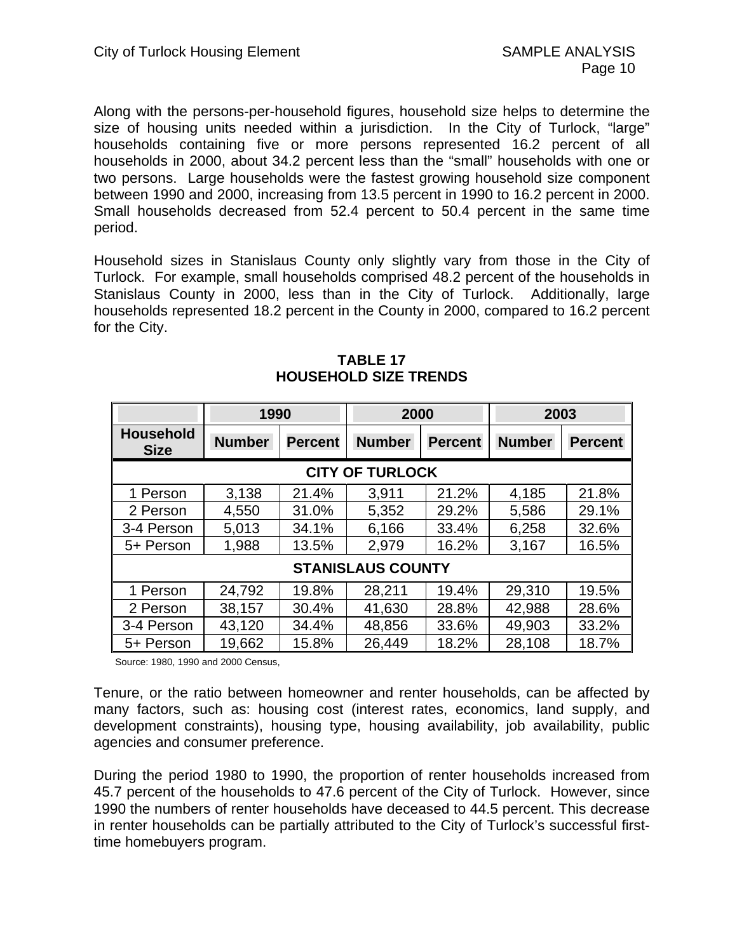between 1990 and 2000, increasing from 13.5 percent in 1990 to 16.2 percent in 2000. Along with the persons-per-household figures, household size helps to determine the size of housing units needed within a jurisdiction. In the City of Turlock, "large" households containing five or more persons represented 16.2 percent of all households in 2000, about 34.2 percent less than the "small" households with one or two persons. Large households were the fastest growing household size component Small households decreased from 52.4 percent to 50.4 percent in the same time period.

Household sizes in Stanislaus County only slightly vary from those in the City of Turlock. For example, small households comprised 48.2 percent of the households in Stanislaus County in 2000, less than in the City of Turlock. Additionally, large households represented 18.2 percent in the County in 2000, compared to 16.2 percent for the City.

|                                 | 1990          |                | 2000          |                | 2003          |                |  |  |
|---------------------------------|---------------|----------------|---------------|----------------|---------------|----------------|--|--|
| <b>Household</b><br><b>Size</b> | <b>Number</b> | <b>Percent</b> | <b>Number</b> | <b>Percent</b> | <b>Number</b> | <b>Percent</b> |  |  |
| <b>CITY OF TURLOCK</b>          |               |                |               |                |               |                |  |  |
| 1 Person                        | 3,138         | 21.4%          | 3,911         | 21.2%          | 4,185         | 21.8%          |  |  |
| 2 Person                        | 4,550         | 31.0%          | 5,352         | 29.2%          | 5,586         | 29.1%          |  |  |
| 3-4 Person                      | 5.013         | 34.1%          | 6,166         | 33.4%          | 6,258         | 32.6%          |  |  |
| 5+ Person                       | 1,988         | 13.5%          | 2,979         | 16.2%          | 3,167         | 16.5%          |  |  |
| <b>STANISLAUS COUNTY</b>        |               |                |               |                |               |                |  |  |
| 1 Person                        | 24,792        | 19.8%          | 28,211        | 19.4%          | 29,310        | 19.5%          |  |  |
| 2 Person                        | 38,157        | 30.4%          | 41,630        | 28.8%          | 42,988        | 28.6%          |  |  |
| 3-4 Person                      | 43,120        | 34.4%          | 48,856        | 33.6%          | 49,903        | 33.2%          |  |  |
| 5+ Person                       | 19,662        | 15.8%          | 26,449        | 18.2%          | 28,108        | 18.7%          |  |  |

## **TABLE 17 HOUSEHOLD SIZE TRENDS**

Source: 1980, 1990 and 2000 Census,

Tenure, or the ratio between homeowner and renter households, can be affected by many factors, such as: housing cost (interest rates, economics, land supply, and development constraints), housing type, housing availability, job availability, public agencies and consumer preference.

During the period 1980 to 1990, the proportion of renter households increased from 45.7 percent of the households to 47.6 percent of the City of Turlock. However, since 1990 the numbers of renter households have deceased to 44.5 percent. This decrease in renter households can be partially attributed to the City of Turlock's successful firsttime homebuyers program.